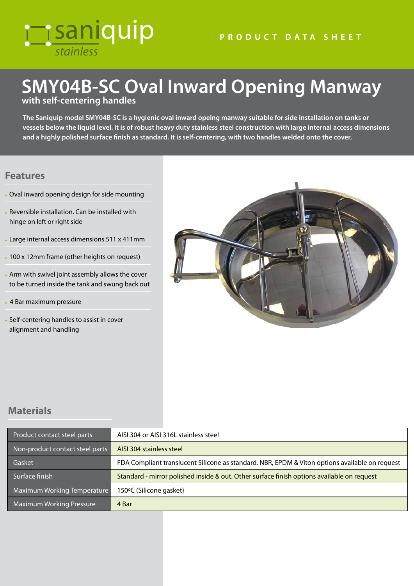# *stainless* **Tisaniquip**

#### **PRODUCT DATA SHEET**

## **SMY04B-SC Oval Inward Opening Manway with self-centering handles**

**The Saniquip model SMY04B-SC is a hygienic oval inward opeing manway suitable for side installation on tanks or vessels below the liquid level. It is of robust heavy duty stainless steel construction with large internal access dimensions and a highly polished surface finish as standard. It is self-centering, with two handles welded onto the cover.** 

#### **Features**

- Oval inward opening design for side mounting
- Reversible installation. Can be installed with hinge on left or right side
- Large internal access dimensions 511 x 411mm
- 100 x 12mm frame (other heights on request)
- Arm with swivel joint assembly allows the cover to be turned inside the tank and swung back out
- 4 Bar maximum pressure
- Self-centering handles to assist in cover alignment and handling



### **Materials**

| Product contact steel parts     | AISI 304 or AISI 316L stainless steel                                                          |
|---------------------------------|------------------------------------------------------------------------------------------------|
| Non-product contact steel parts | AISI 304 stainless steel                                                                       |
| Gasket                          | FDA Compliant translucent Silicone as standard. NBR, EPDM & Viton options available on request |
| Surface finish                  | Standard - mirror polished inside & out. Other surface finish options available on request     |
| Maximum Working Temperature     | 150°C (Silicone gasket)                                                                        |
| <b>Maximum Working Pressure</b> | 4 Bar                                                                                          |